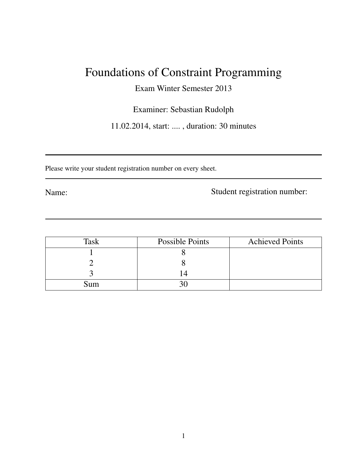# Foundations of Constraint Programming

Exam Winter Semester 2013

Examiner: Sebastian Rudolph

11.02.2014, start: .... , duration: 30 minutes

Please write your student registration number on every sheet.

Name: Student registration number:

| Task | Possible Points | <b>Achieved Points</b> |
|------|-----------------|------------------------|
|      |                 |                        |
|      |                 |                        |
|      |                 |                        |
| sum  |                 |                        |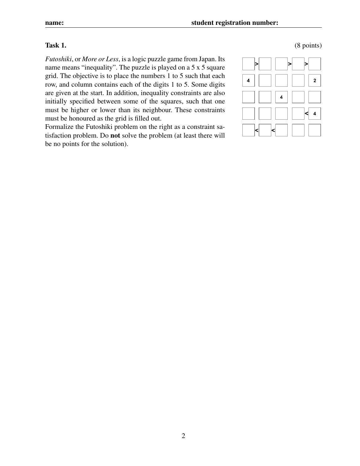*Futoshiki*, or *More or Less*, is a logic puzzle game from Japan. Its name means "inequality". The puzzle is played on a 5 x 5 square grid. The objective is to place the numbers 1 to 5 such that each row, and column contains each of the digits 1 to 5. Some digits are given at the start. In addition, inequality constraints are also initially specified between some of the squares, such that one must be higher or lower than its neighbour. These constraints must be honoured as the grid is filled out.

Formalize the Futoshiki problem on the right as a constraint satisfaction problem. Do not solve the problem (at least there will be no points for the solution).



### $Task 1.$  (8 points)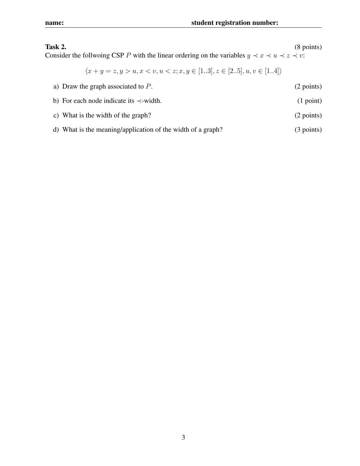## Task 2. (8 points)

Consider the follwoing CSP *P* with the linear ordering on the variables  $y \prec x \prec u \prec z \prec v$ :

$$
\langle x+y=z, y>u, x
$$

| a) Draw the graph associated to $P$ .                       | (2 points)   |
|-------------------------------------------------------------|--------------|
| b) For each node indicate its $\prec$ -width.               | $(1$ point)  |
| c) What is the width of the graph?                          | (2 points)   |
| d) What is the meaning/application of the width of a graph? | $(3$ points) |